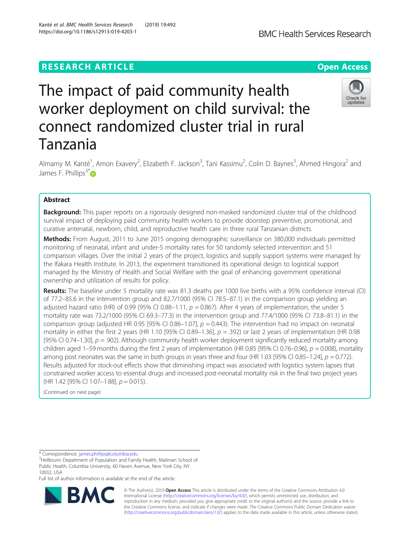# **RESEARCH ARTICLE Example 2014 12:30 The Contract of Contract ACCESS**

# The impact of paid community health worker deployment on child survival: the connect randomized cluster trial in rural Tanzania

Almamy M. Kanté<sup>1</sup>, Amon Exavery<sup>2</sup>, Elizabeth F. Jackson<sup>3</sup>, Tani Kassimu<sup>2</sup>, Colin D. Baynes<sup>3</sup>, Ahmed Hingora<sup>2</sup> and James F. Phillips<sup>3\*</sup> $\bullet$ 

# Abstract

**Background:** This paper reports on a rigorously designed non-masked randomized cluster trial of the childhood survival impact of deploying paid community health workers to provide doorstep preventive, promotional, and curative antenatal, newborn, child, and reproductive health care in three rural Tanzanian districts.

Methods: From August, 2011 to June 2015 ongoing demographic surveillance on 380,000 individuals permitted monitoring of neonatal, infant and under-5 mortality rates for 50 randomly selected intervention and 51 comparison villages. Over the initial 2 years of the project, logistics and supply support systems were managed by the Ifakara Health Institute. In 2013, the experiment transitioned its operational design to logistical support managed by the Ministry of Health and Social Welfare with the goal of enhancing government operational ownership and utilization of results for policy.

Results: The baseline under 5 mortality rate was 81.3 deaths per 1000 live births with a 95% confidence interval (CI) of 77.2–85.6 in the intervention group and 82.7/1000 (95% CI 78.5–87.1) in the comparison group yielding an adjusted hazard ratio (HR) of 0.99 (95% CI 0.88–1.11,  $p = 0.867$ ). After 4 years of implementation, the under 5 mortality rate was 73.2/1000 (95% CI 69.3–77.3) in the intervention group and 77.4/1000 (95% CI 73.8–81.1) in the comparison group (adjusted HR 0.95 [95% CI 0.86–1.07],  $p = 0.443$ ). The intervention had no impact on neonatal mortality in either the first 2 years (HR 1.10 [95% CI 0.89–1.36],  $p = 0.392$  or last 2 years of implementation (HR 0.98 [95% CI 0.74–1.30],  $p = .902$ ). Although community health worker deployment significantly reduced mortality among children aged 1–59 months during the first 2 years of implementation (HR 0.85 [95% CI 0.76–0.96],  $p = 0.008$ ), mortality among post neonates was the same in both groups in years three and four (HR 1.03 [95% CI 0.85–1.24],  $p = 0.772$ ). Results adjusted for stock-out effects show that diminishing impact was associated with logistics system lapses that constrained worker access to essential drugs and increased post-neonatal mortality risk in the final two project years  $(HR 1.42 [95\% CI 1.07-1.88], p = 0.015).$ 

(Continued on next page)

\* Correspondence: [james.phillips@columbia.edu](mailto:james.phillips@columbia.edu) <sup>3</sup>

Full list of author information is available at the end of the article

© The Author(s). 2019 **Open Access** This article is distributed under the terms of the Creative Commons Attribution 4.0 International License [\(http://creativecommons.org/licenses/by/4.0/](http://creativecommons.org/licenses/by/4.0/)), which permits unrestricted use, distribution, and reproduction in any medium, provided you give appropriate credit to the original author(s) and the source, provide a link to the Creative Commons license, and indicate if changes were made. The Creative Commons Public Domain Dedication waiver [\(http://creativecommons.org/publicdomain/zero/1.0/](http://creativecommons.org/publicdomain/zero/1.0/)) applies to the data made available in this article, unless otherwise stated.







<sup>&</sup>lt;sup>3</sup>Heilbrunn Department of Population and Family Health, Mailman School of Public Health, Columbia University, 60 Haven Avenue, New York City, NY 10032, USA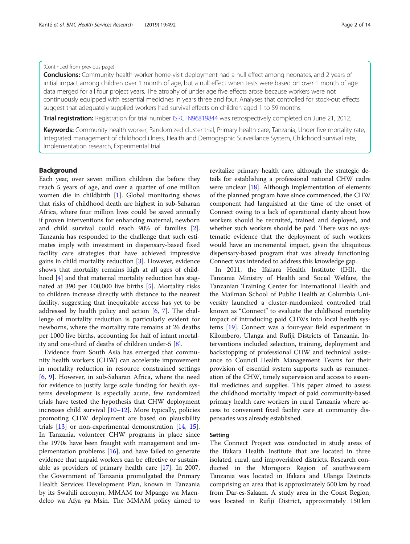# (Continued from previous page)

**Conclusions:** Community health worker home-visit deployment had a null effect among neonates, and 2 years of initial impact among children over 1 month of age, but a null effect when tests were based on over 1 month of age data merged for all four project years. The atrophy of under age five effects arose because workers were not continuously equipped with essential medicines in years three and four. Analyses that controlled for stock-out effects suggest that adequately supplied workers had survival effects on children aged 1 to 59 months.

Trial registration: Registration for trial number [ISRCTN96819844](http://www.isrctn.com/ISRCTN96819844) was retrospectively completed on June 21, 2012.

Keywords: Community health worker, Randomized cluster trial, Primary health care, Tanzania, Under five mortality rate, Integrated management of childhood illness, Health and Demographic Surveillance System, Childhood survival rate, Implementation research, Experimental trial

#### Background

Each year, over seven million children die before they reach 5 years of age, and over a quarter of one million women die in childbirth [[1](#page-11-0)]. Global monitoring shows that risks of childhood death are highest in sub-Saharan Africa, where four million lives could be saved annually if proven interventions for enhancing maternal, newborn and child survival could reach 90% of families [\[2](#page-11-0)]. Tanzania has responded to the challenge that such estimates imply with investment in dispensary-based fixed facility care strategies that have achieved impressive gains in child mortality reduction [[3\]](#page-11-0). However, evidence shows that mortality remains high at all ages of childhood [[4\]](#page-11-0) and that maternal mortality reduction has stagnated at 390 per 100,000 live births [\[5](#page-11-0)]. Mortality risks to children increase directly with distance to the nearest facility, suggesting that inequitable access has yet to be addressed by health policy and action [\[6](#page-12-0), [7](#page-12-0)]. The challenge of mortality reduction is particularly evident for newborns, where the mortality rate remains at 26 deaths per 1000 live births, accounting for half of infant mortality and one-third of deaths of children under-5 [\[8\]](#page-12-0).

Evidence from South Asia has emerged that community health workers (CHW) can accelerate improvement in mortality reduction in resource constrained settings [[6,](#page-12-0) [9\]](#page-12-0). However, in sub-Saharan Africa, where the need for evidence to justify large scale funding for health systems development is especially acute, few randomized trials have tested the hypothesis that CHW deployment increases child survival  $[10-12]$  $[10-12]$  $[10-12]$  $[10-12]$  $[10-12]$ . More typically, policies promoting CHW deployment are based on plausibility trials [\[13](#page-12-0)] or non-experimental demonstration [\[14,](#page-12-0) [15](#page-12-0)]. In Tanzania, volunteer CHW programs in place since the 1970s have been fraught with management and implementation problems [\[16\]](#page-12-0), and have failed to generate evidence that unpaid workers can be effective or sustainable as providers of primary health care [[17\]](#page-12-0). In 2007, the Government of Tanzania promulgated the Primary Health Services Development Plan, known in Tanzania by its Swahili acronym, MMAM for Mpango wa Maendeleo wa Afya ya Msin. The MMAM policy aimed to revitalize primary health care, although the strategic details for establishing a professional national CHW cadre were unclear [[18](#page-12-0)]. Although implementation of elements of the planned program have since commenced, the CHW component had languished at the time of the onset of Connect owing to a lack of operational clarity about how workers should be recruited, trained and deployed, and whether such workers should be paid. There was no systematic evidence that the deployment of such workers would have an incremental impact, given the ubiquitous dispensary-based program that was already functioning. Connect was intended to address this knowledge gap.

In 2011, the Ifakara Health Institute (IHI), the Tanzania Ministry of Health and Social Welfare, the Tanzanian Training Center for International Health and the Mailman School of Public Health at Columbia University launched a cluster-randomized controlled trial known as "Connect" to evaluate the childhood mortality impact of introducing paid CHWs into local health systems [[19](#page-12-0)]. Connect was a four-year field experiment in Kilombero, Ulanga and Rufiji Districts of Tanzania. Interventions included selection, training, deployment and backstopping of professional CHW and technical assistance to Council Health Management Teams for their provision of essential system supports such as remuneration of the CHW, timely supervision and access to essential medicines and supplies. This paper aimed to assess the childhood mortality impact of paid community-based primary health care workers in rural Tanzania where access to convenient fixed facility care at community dispensaries was already established.

# Setting

The Connect Project was conducted in study areas of the Ifakara Health Institute that are located in three isolated, rural, and impoverished districts. Research conducted in the Morogoro Region of southwestern Tanzania was located in Ifakara and Ulanga Districts comprising an area that is approximately 500 km by road from Dar-es-Salaam. A study area in the Coast Region, was located in Rufiji District, approximately 150 km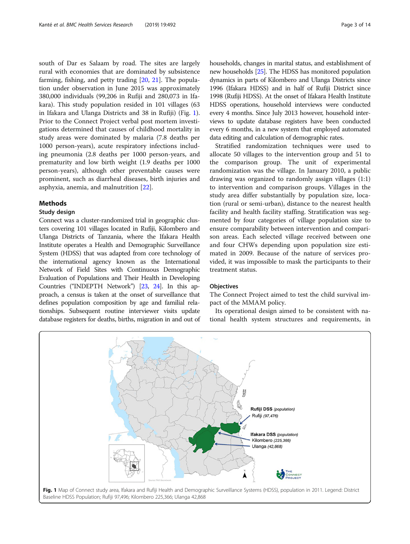south of Dar es Salaam by road. The sites are largely rural with economies that are dominated by subsistence farming, fishing, and petty trading [\[20](#page-12-0), [21\]](#page-12-0). The population under observation in June 2015 was approximately 380,000 individuals (99,206 in Rufiji and 280,073 in Ifakara). This study population resided in 101 villages (63 in Ifakara and Ulanga Districts and 38 in Rufiji) (Fig. 1). Prior to the Connect Project verbal post mortem investigations determined that causes of childhood mortality in study areas were dominated by malaria (7.8 deaths per 1000 person-years), acute respiratory infections including pneumonia (2.8 deaths per 1000 person-years, and prematurity and low birth weight (1.9 deaths per 1000 person-years), although other preventable causes were prominent, such as diarrheal diseases, birth injuries and asphyxia, anemia, and malnutrition [\[22](#page-12-0)].

### Methods

#### Study design

Connect was a cluster-randomized trial in geographic clusters covering 101 villages located in Rufiji, Kilombero and Ulanga Districts of Tanzania, where the Ifakara Health Institute operates a Health and Demographic Surveillance System (HDSS) that was adapted from core technology of the international agency known as the International Network of Field Sites with Continuous Demographic Evaluation of Populations and Their Health in Developing Countries ("INDEPTH Network") [\[23,](#page-12-0) [24](#page-12-0)]. In this approach, a census is taken at the onset of surveillance that defines population composition by age and familial relationships. Subsequent routine interviewer visits update database registers for deaths, births, migration in and out of households, changes in marital status, and establishment of new households [[25](#page-12-0)]. The HDSS has monitored population dynamics in parts of Kilombero and Ulanga Districts since 1996 (Ifakara HDSS) and in half of Rufiji District since 1998 (Rufiji HDSS). At the onset of Ifakara Health Institute HDSS operations, household interviews were conducted every 4 months. Since July 2013 however, household interviews to update database registers have been conducted every 6 months, in a new system that employed automated data editing and calculation of demographic rates.

Stratified randomization techniques were used to allocate 50 villages to the intervention group and 51 to the comparison group. The unit of experimental randomization was the village. In January 2010, a public drawing was organized to randomly assign villages (1:1) to intervention and comparison groups. Villages in the study area differ substantially by population size, location (rural or semi-urban), distance to the nearest health facility and health facility staffing. Stratification was segmented by four categories of village population size to ensure comparability between intervention and comparison areas. Each selected village received between one and four CHWs depending upon population size estimated in 2009. Because of the nature of services provided, it was impossible to mask the participants to their treatment status.

#### **Objectives**

The Connect Project aimed to test the child survival impact of the MMAM policy.

Its operational design aimed to be consistent with national health system structures and requirements, in

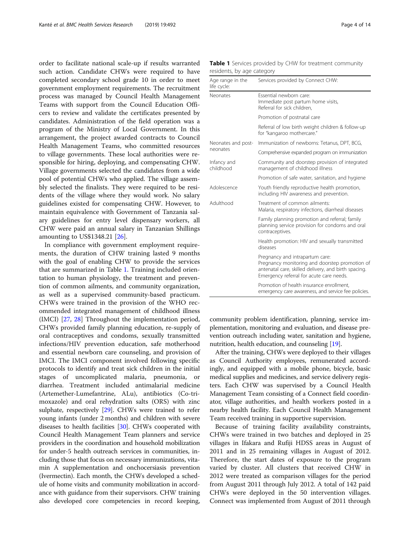order to facilitate national scale-up if results warranted such action. Candidate CHWs were required to have completed secondary school grade 10 in order to meet government employment requirements. The recruitment process was managed by Council Health Management Teams with support from the Council Education Officers to review and validate the certificates presented by candidates. Administration of the field operation was a program of the Ministry of Local Government. In this arrangement, the project awarded contracts to Council Health Management Teams, who committed resources to village governments. These local authorities were responsible for hiring, deploying, and compensating CHW. Village governments selected the candidates from a wide pool of potential CHWs who applied. The village assembly selected the finalists. They were required to be residents of the village where they would work. No salary guidelines existed for compensating CHW. However, to maintain equivalence with Government of Tanzania salary guidelines for entry level dispensary workers, all CHW were paid an annual salary in Tanzanian Shillings amounting to US\$1348.21 [[26\]](#page-12-0).

In compliance with government employment requirements, the duration of CHW training lasted 9 months with the goal of enabling CHW to provide the services that are summarized in Table 1. Training included orientation to human physiology, the treatment and prevention of common ailments, and community organization, as well as a supervised community-based practicum. CHWs were trained in the provision of the WHO recommended integrated management of childhood illness (IMCI) [\[27,](#page-12-0) [28\]](#page-12-0) Throughout the implementation period, CHWs provided family planning education, re-supply of oral contraceptives and condoms, sexually transmitted infections/HIV prevention education, safe motherhood and essential newborn care counseling, and provision of IMCI. The IMCI component involved following specific protocols to identify and treat sick children in the initial stages of uncomplicated malaria, pneumonia, or diarrhea. Treatment included antimalarial medicine (Artemether-Lumefantrine, ALu), antibiotics (Co-trimoxazole) and oral rehydration salts (ORS) with zinc sulphate, respectively [\[29\]](#page-12-0). CHWs were trained to refer young infants (under 2 months) and children with severe diseases to health facilities [[30](#page-12-0)]. CHWs cooperated with Council Health Management Team planners and service providers in the coordination and household mobilization for under-5 health outreach services in communities, including those that focus on necessary immunizations, vitamin A supplementation and onchocersiasis prevention (Ivermectin). Each month, the CHWs developed a schedule of home visits and community mobilization in accordance with guidance from their supervisors. CHW training also developed core competencies in record keeping,

| Age range in the<br>life cycle: | Services provided by Connect CHW:                                                                                                                                                     |  |  |
|---------------------------------|---------------------------------------------------------------------------------------------------------------------------------------------------------------------------------------|--|--|
| <b>Neonates</b>                 | Essential newborn care:<br>Immediate post partum home visits,<br>Referral for sick children,                                                                                          |  |  |
|                                 | Promotion of postnatal care                                                                                                                                                           |  |  |
|                                 | Referral of low birth weight children & follow-up<br>for "kangaroo mothercare."                                                                                                       |  |  |
| Neonates and post-              | Immunization of newborns: Tetanus, DPT, BCG,                                                                                                                                          |  |  |
| neonates                        | Comprehensive expanded program on immunization                                                                                                                                        |  |  |
| Infancy and<br>childhood        | Community and doorstep provision of integrated<br>management of childhood illness                                                                                                     |  |  |
|                                 | Promotion of safe water, sanitation, and hygiene                                                                                                                                      |  |  |
| Adolescence                     | Youth friendly reproductive health promotion,<br>including HIV awareness and prevention.                                                                                              |  |  |
| Adulthood                       | Treatment of common ailments:<br>Malaria, respiratory infections, diarrheal diseases                                                                                                  |  |  |
|                                 | Family planning promotion and referral; family<br>planning service provision for condoms and oral<br>contraceptives.                                                                  |  |  |
|                                 | Health promotion: HIV and sexually transmitted<br>diseases                                                                                                                            |  |  |
|                                 | Pregnancy and intrapartum care:<br>Pregnancy monitoring and doorstep promotion of<br>antenatal care, skilled delivery, and birth spacing.<br>Emergency referral for acute care needs. |  |  |
|                                 | Promotion of health insurance enrollment,<br>emergency care awareness, and service fee policies.                                                                                      |  |  |

Table 1 Services provided by CHW for treatment community residents, by age category

community problem identification, planning, service implementation, monitoring and evaluation, and disease prevention outreach including water, sanitation and hygiene, nutrition, health education, and counseling [\[19\]](#page-12-0).

After the training, CHWs were deployed to their villages as Council Authority employees, remunerated accordingly, and equipped with a mobile phone, bicycle, basic medical supplies and medicines, and service delivery registers. Each CHW was supervised by a Council Health Management Team consisting of a Connect field coordinator, village authorities, and health workers posted in a nearby health facility. Each Council Health Management Team received training in supportive supervision.

Because of training facility availability constraints, CHWs were trained in two batches and deployed in 25 villages in Ifakara and Rufiji HDSS areas in August of 2011 and in 25 remaining villages in August of 2012. Therefore, the start dates of exposure to the program varied by cluster. All clusters that received CHW in 2012 were treated as comparison villages for the period from August 2011 through July 2012. A total of 142 paid CHWs were deployed in the 50 intervention villages. Connect was implemented from August of 2011 through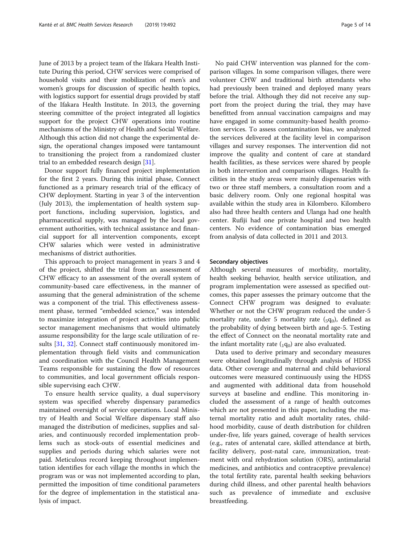June of 2013 by a project team of the Ifakara Health Institute During this period, CHW services were comprised of household visits and their mobilization of men's and women's groups for discussion of specific health topics, with logistics support for essential drugs provided by staff of the Ifakara Health Institute. In 2013, the governing steering committee of the project integrated all logistics support for the project CHW operations into routine mechanisms of the Ministry of Health and Social Welfare. Although this action did not change the experimental design, the operational changes imposed were tantamount to transitioning the project from a randomized cluster trial to an embedded research design [[31\]](#page-12-0).

Donor support fully financed project implementation for the first 2 years. During this initial phase, Connect functioned as a primary research trial of the efficacy of CHW deployment. Starting in year 3 of the intervention (July 2013), the implementation of health system support functions, including supervision, logistics, and pharmaceutical supply, was managed by the local government authorities, with technical assistance and financial support for all intervention components, except CHW salaries which were vested in administrative mechanisms of district authorities.

This approach to project management in years 3 and 4 of the project, shifted the trial from an assessment of CHW efficacy to an assessment of the overall system of community-based care effectiveness, in the manner of assuming that the general administration of the scheme was a component of the trial. This effectiveness assessment phase, termed "embedded science," was intended to maximize integration of project activities into public sector management mechanisms that would ultimately assume responsibility for the large scale utilization of results [[31,](#page-12-0) [32](#page-12-0)]. Connect staff continuously monitored implementation through field visits and communication and coordination with the Council Health Management Teams responsible for sustaining the flow of resources to communities, and local government officials responsible supervising each CHW.

To ensure health service quality, a dual supervisory system was specified whereby dispensary paramedics maintained oversight of service operations. Local Ministry of Health and Social Welfare dispensary staff also managed the distribution of medicines, supplies and salaries, and continuously recorded implementation problems such as stock-outs of essential medicines and supplies and periods during which salaries were not paid. Meticulous record keeping throughout implementation identifies for each village the months in which the program was or was not implemented according to plan, permitted the imposition of time conditional parameters for the degree of implementation in the statistical analysis of impact.

No paid CHW intervention was planned for the comparison villages. In some comparison villages, there were volunteer CHW and traditional birth attendants who had previously been trained and deployed many years before the trial. Although they did not receive any support from the project during the trial, they may have benefitted from annual vaccination campaigns and may have engaged in some community-based health promotion services. To assess contamination bias, we analyzed the services delivered at the facility level in comparison villages and survey responses. The intervention did not improve the quality and content of care at standard health facilities, as these services were shared by people in both intervention and comparison villages. Health facilities in the study areas were mainly dispensaries with two or three staff members, a consultation room and a basic delivery room. Only one regional hospital was available within the study area in Kilombero. Kilombero also had three health centers and Ulanga had one health center. Rufiji had one private hospital and two health centers. No evidence of contamination bias emerged from analysis of data collected in 2011 and 2013.

## Secondary objectives

Although several measures of morbidity, mortality, health seeking behavior, health service utilization, and program implementation were assessed as specified outcomes, this paper assesses the primary outcome that the Connect CHW program was designed to evaluate: Whether or not the CHW program reduced the under-5 mortality rate, under 5 mortality rate  $({}_5q_0)$ , defined as the probability of dying between birth and age-5. Testing the effect of Connect on the neonatal mortality rate and the infant mortality rate  $({}_1q_0)$  are also evaluated.

Data used to derive primary and secondary measures were obtained longitudinally through analysis of HDSS data. Other coverage and maternal and child behavioral outcomes were measured continuously using the HDSS and augmented with additional data from household surveys at baseline and endline. This monitoring included the assessment of a range of health outcomes which are not presented in this paper, including the maternal mortality ratio and adult mortality rates, childhood morbidity, cause of death distribution for children under-five, life years gained, coverage of health services (e.g., rates of antenatal care, skilled attendance at birth, facility delivery, post-natal care, immunization, treatment with oral rehydration solution (ORS), antimalarial medicines, and antibiotics and contraceptive prevalence) the total fertility rate, parental health seeking behaviors during child illness, and other parental health behaviors such as prevalence of immediate and exclusive breastfeeding.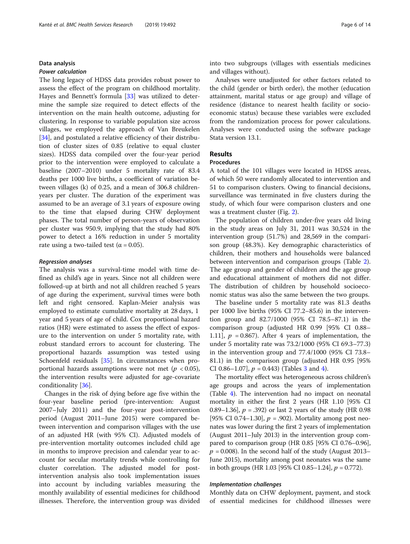#### Data analysis

#### Power calculation

The long legacy of HDSS data provides robust power to assess the effect of the program on childhood mortality. Hayes and Bennett's formula [\[33\]](#page-12-0) was utilized to determine the sample size required to detect effects of the intervention on the main health outcome, adjusting for clustering. In response to variable population size across villages, we employed the approach of Van Breukelen [[34\]](#page-12-0), and postulated a relative efficiency of their distribution of cluster sizes of 0.85 (relative to equal cluster sizes). HDSS data compiled over the four-year period prior to the intervention were employed to calculate a baseline (2007–2010) under 5 mortality rate of 83.4 deaths per 1000 live births, a coefficient of variation between villages (k) of 0.25, and a mean of 306.8 childrenyears per cluster. The duration of the experiment was assumed to be an average of 3.1 years of exposure owing to the time that elapsed during CHW deployment phases. The total number of person-years of observation per cluster was 950.9, implying that the study had 80% power to detect a 16% reduction in under 5 mortality rate using a two-tailed test ( $\alpha$  = 0.05).

## Regression analyses

The analysis was a survival-time model with time defined as child's age in years. Since not all children were followed-up at birth and not all children reached 5 years of age during the experiment, survival times were both left and right censored. Kaplan-Meier analysis was employed to estimate cumulative mortality at 28 days, 1 year and 5 years of age of child. Cox proportional hazard ratios (HR) were estimated to assess the effect of exposure to the intervention on under 5 mortality rate, with robust standard errors to account for clustering. The proportional hazards assumption was tested using Schoenfeld residuals [[35\]](#page-12-0). In circumstances when proportional hazards assumptions were not met ( $p < 0.05$ ), the intervention results were adjusted for age-covariate conditionality [[36\]](#page-12-0).

Changes in the risk of dying before age five within the four-year baseline period (pre-intervention: August 2007–July 2011) and the four-year post-intervention period (August 2011–June 2015) were compared between intervention and comparison villages with the use of an adjusted HR (with 95% CI). Adjusted models of pre-intervention mortality outcomes included child age in months to improve precision and calendar year to account for secular mortality trends while controlling for cluster correlation. The adjusted model for postintervention analysis also took implementation issues into account by including variables measuring the monthly availability of essential medicines for childhood illnesses. Therefore, the intervention group was divided into two subgroups (villages with essentials medicines and villages without).

Analyses were unadjusted for other factors related to the child (gender or birth order), the mother (education attainment, marital status or age group) and village of residence (distance to nearest health facility or socioeconomic status) because these variables were excluded from the randomization process for power calculations. Analyses were conducted using the software package Stata version 13.1.

# Results

## Procedures

A total of the 101 villages were located in HDSS areas, of which 50 were randomly allocated to intervention and 51 to comparison clusters. Owing to financial decisions, surveillance was terminated in five clusters during the study, of which four were comparison clusters and one was a treatment cluster (Fig. [2\)](#page-6-0).

The population of children under-five years old living in the study areas on July 31, 2011 was 30,524 in the intervention group (51.7%) and 28,569 in the comparison group (48.3%). Key demographic characteristics of children, their mothers and households were balanced between intervention and comparison groups (Table [2](#page-7-0)). The age group and gender of children and the age group and educational attainment of mothers did not differ. The distribution of children by household socioeconomic status was also the same between the two groups.

The baseline under 5 mortality rate was 81.3 deaths per 1000 live births (95% CI 77.2–85.6) in the intervention group and 82.7/1000 (95% CI 78.5–87.1) in the comparison group (adjusted HR 0.99 [95% CI 0.88– 1.11],  $p = 0.867$ . After 4 years of implementation, the under 5 mortality rate was 73.2/1000 (95% CI 69.3–77.3) in the intervention group and 77.4/1000 (95% CI 73.8– 81.1) in the comparison group (adjusted HR 0.95 [95% CI 0.86–1.07],  $p = 0.443$  $p = 0.443$  (Tables 3 and [4\)](#page-8-0).

The mortality effect was heterogeneous across children's age groups and across the years of implementation (Table [4](#page-8-0)). The intervention had no impact on neonatal mortality in either the first 2 years (HR 1.10 [95% CI 0.89–1.36],  $p = 0.392$  or last 2 years of the study (HR 0.98 [95% CI 0.74–1.30],  $p = .902$ ). Mortality among post neonates was lower during the first 2 years of implementation (August 2011–July 2013) in the intervention group compared to comparison group (HR 0.85 [95% CI 0.76–0.96],  $p = 0.008$ ). In the second half of the study (August 2013– June 2015), mortality among post neonates was the same in both groups (HR 1.03 [95% CI 0.85–1.24], p = 0.772).

# Implementation challenges

Monthly data on CHW deployment, payment, and stock of essential medicines for childhood illnesses were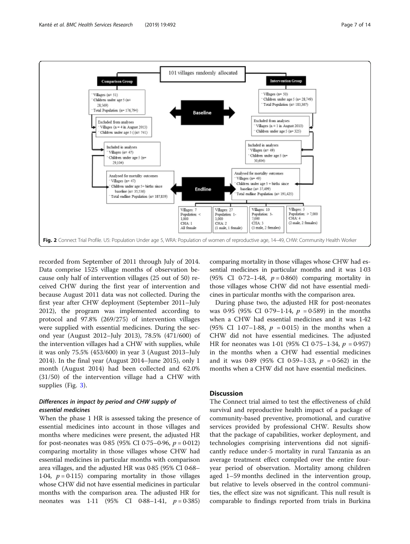<span id="page-6-0"></span>

recorded from September of 2011 through July of 2014. Data comprise 1525 village months of observation because only half of intervention villages (25 out of 50) received CHW during the first year of intervention and because August 2011 data was not collected. During the first year after CHW deployment (September 2011–July 2012), the program was implemented according to protocol and 97.8% (269/275) of intervention villages were supplied with essential medicines. During the second year (August 2012–July 2013), 78.5% (471/600) of the intervention villages had a CHW with supplies, while it was only 75.5% (453/600) in year 3 (August 2013–July 2014). In the final year (August 2014–June 2015), only 1 month (August 2014) had been collected and 62.0% (31/50) of the intervention village had a CHW with supplies (Fig. [3](#page-9-0)).

# Differences in impact by period and CHW supply of essential medicines

When the phase 1 HR is assessed taking the presence of essential medicines into account in those villages and months where medicines were present, the adjusted HR for post-neonates was 0.85 (95% CI 0.75–0.96,  $p = 0.012$ ) comparing mortality in those villages whose CHW had essential medicines in particular months with comparison area villages, and the adjusted HR was 0·85 (95% CI 0·68– 1.04,  $p = 0.115$ ) comparing mortality in those villages whose CHW did not have essential medicines in particular months with the comparison area. The adjusted HR for neonates was 1.11 (95% CI 0.88–1.41,  $p = 0.385$ ) comparing mortality in those villages whose CHW had essential medicines in particular months and it was 1·03 (95% CI 0.72–1.48,  $p = 0.860$ ) comparing mortality in those villages whose CHW did not have essential medicines in particular months with the comparison area.

During phase two, the adjusted HR for post-neonates was 0.95 (95% CI 0.79–1.14,  $p = 0.589$ ) in the months when a CHW had essential medicines and it was 1·42 (95% CI 1.07-1.88,  $p = 0.015$ ) in the months when a CHW did not have essential medicines. The adjusted HR for neonates was 1.01 (95% CI 0.75–1.34,  $p = 0.957$ ) in the months when a CHW had essential medicines and it was 0.89 (95% CI 0.59–1.33,  $p = 0.562$ ) in the months when a CHW did not have essential medicines.

# **Discussion**

The Connect trial aimed to test the effectiveness of child survival and reproductive health impact of a package of community-based preventive, promotional, and curative services provided by professional CHW. Results show that the package of capabilities, worker deployment, and technologies comprising interventions did not significantly reduce under-5 mortality in rural Tanzania as an average treatment effect compiled over the entire fouryear period of observation. Mortality among children aged 1–59 months declined in the intervention group, but relative to levels observed in the control communities, the effect size was not significant. This null result is comparable to findings reported from trials in Burkina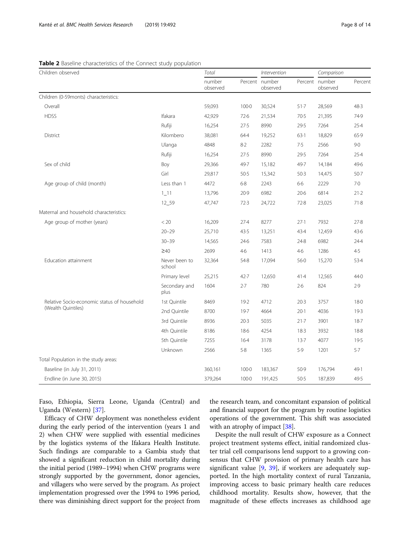<span id="page-7-0"></span>

| Table 2 Baseline characteristics of the Connect study population |  |  |  |  |
|------------------------------------------------------------------|--|--|--|--|
|------------------------------------------------------------------|--|--|--|--|

| Children observed                           |                         | Total              |           | Intervention               |        | Comparison                 |          |
|---------------------------------------------|-------------------------|--------------------|-----------|----------------------------|--------|----------------------------|----------|
|                                             |                         | number<br>observed |           | Percent number<br>observed |        | Percent number<br>observed | Percent  |
| Children (0-59monts) characteristics:       |                         |                    |           |                            |        |                            |          |
| Overall                                     |                         | 59,093             | $100 - 0$ | 30,524                     | 51.7   | 28,569                     | 48.3     |
| <b>HDSS</b>                                 | Ifakara                 | 42,929             | 72.6      | 21,534                     | 70.5   | 21,395                     | 74.9     |
|                                             | Rufiji                  | 16,254             | 27.5      | 8990                       | 29.5   | 7264                       | $25-4$   |
| District                                    | Kilombero               | 38,081             | 64.4      | 19,252                     | $63-1$ | 18,829                     | 65.9     |
|                                             | Ulanga                  | 4848               | $8-2$     | 2282                       | 7.5    | 2566                       | 9.0      |
|                                             | Rufiji                  | 16,254             | 27.5      | 8990                       | 29.5   | 7264                       | $25-4$   |
| Sex of child                                | Boy                     | 29,366             | 49.7      | 15,182                     | 49.7   | 14,184                     | 49.6     |
|                                             | Girl                    | 29,817             | $50-5$    | 15,342                     | $50-3$ | 14,475                     | 50.7     |
| Age group of child (month)                  | Less than 1             | 4472               | $6 - 8$   | 2243                       | $6-6$  | 2229                       | 7.0      |
|                                             | $1 - 11$                | 13,796             | 20.9      | 6982                       | $20-6$ | 6814                       | $21-2$   |
|                                             | $12 - 59$               | 47,747             | 72.3      | 24,722                     | 72.8   | 23,025                     | 71.8     |
| Maternal and household characteristics:     |                         |                    |           |                            |        |                            |          |
| Age group of mother (years)                 | < 20                    | 16,209             | $27-4$    | 8277                       | 27.1   | 7932                       | 27.8     |
|                                             | $20 - 29$               | 25,710             | 43.5      | 13,251                     | 43.4   | 12,459                     | 43.6     |
|                                             | $30 - 39$               | 14,565             | 24.6      | 7583                       | 24.8   | 6982                       | 24.4     |
|                                             | $\geq 40$               | 2699               | 4.6       | 1413                       | $4-6$  | 1286                       | 4.5      |
| Education attainment                        | Never been to<br>school | 32,364             | 54.8      | 17,094                     | 56.0   | 15,270                     | 53.4     |
|                                             | Primary level           | 25,215             | 42.7      | 12,650                     | 41.4   | 12,565                     | 44.0     |
|                                             | Secondary and<br>plus   | 1604               | 2.7       | 780                        | 2.6    | 824                        | 2.9      |
| Relative Socio-economic status of household | 1st Quintile            | 8469               | 19.2      | 4712                       | $20-3$ | 3757                       | 18.0     |
| (Wealth Quintiles)                          | 2nd Quintile            | 8700               | 19.7      | 4664                       | 20.1   | 4036                       | 19.3     |
|                                             | 3rd Quintile            | 8936               | 20.3      | 5035                       | 21.7   | 3901                       | $18 - 7$ |
|                                             | 4th Quintile            | 8186               | 18.6      | 4254                       | $18-3$ | 3932                       | 18.8     |
|                                             | 5th Quintile            | 7255               | 16-4      | 3178                       | 13.7   | 4077                       | 19.5     |
|                                             | Unknown                 | 2566               | $5.8$     | 1365                       | 5.9    | 1201                       | 5.7      |
| Total Population in the study areas:        |                         |                    |           |                            |        |                            |          |
| Baseline (in July 31, 2011)                 |                         | 360,161            | $100 - 0$ | 183,367                    | 50.9   | 176,794                    | 49.1     |
| Endline (in June 30, 2015)                  |                         | 379,264            | $100 - 0$ | 191,425                    | $50-5$ | 187,839                    | 49.5     |

Faso, Ethiopia, Sierra Leone, Uganda (Central) and Uganda (Western) [\[37\]](#page-12-0).

Efficacy of CHW deployment was nonetheless evident during the early period of the intervention (years 1 and 2) when CHW were supplied with essential medicines by the logistics systems of the Ifakara Health Institute. Such findings are comparable to a Gambia study that showed a significant reduction in child mortality during the initial period (1989–1994) when CHW programs were strongly supported by the government, donor agencies, and villagers who were served by the program. As project implementation progressed over the 1994 to 1996 period, there was diminishing direct support for the project from

the research team, and concomitant expansion of political and financial support for the program by routine logistics operations of the government. This shift was associated with an atrophy of impact [\[38\]](#page-12-0).

Despite the null result of CHW exposure as a Connect project treatment systems effect, initial randomized cluster trial cell comparisons lend support to a growing consensus that CHW provision of primary health care has significant value [\[9](#page-12-0), [39](#page-12-0)], if workers are adequately supported. In the high mortality context of rural Tanzania, improving access to basic primary health care reduces childhood mortality. Results show, however, that the magnitude of these effects increases as childhood age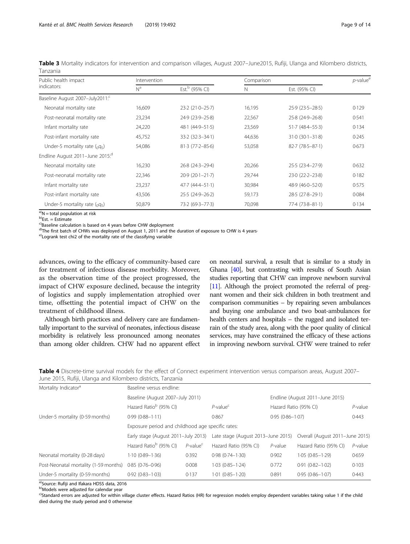<span id="page-8-0"></span>

| Table 3 Mortality indicators for intervention and comparison villages, August 2007-June2015, Rufiji, Ulanga and Kilombero districts, |  |  |
|--------------------------------------------------------------------------------------------------------------------------------------|--|--|
| Tanzania                                                                                                                             |  |  |

| Public health impact                        | Intervention   |                            |        | Comparison          |       |  |
|---------------------------------------------|----------------|----------------------------|--------|---------------------|-------|--|
| indicators:                                 | N <sup>a</sup> | Est. <sup>b</sup> (95% CI) | N      | Est. (95% CI)       |       |  |
| Baseline August 2007-July2011: <sup>c</sup> |                |                            |        |                     |       |  |
| Neonatal mortality rate                     | 16,609         | $23.2(21.0 - 25.7)$        | 16,195 | 25.9 (23.5 - 28.5)  | 0.129 |  |
| Post-neonatal mortality rate                | 23,234         | 24.9 (23.9 - 25.8)         | 22,567 | 25-8 (24-9-26-8)    | 0.541 |  |
| Infant mortality rate                       | 24,220         | 48.1 (44.9–51.5)           | 23,569 | 51.7 (48.4–55.3)    | 0.134 |  |
| Post-infant mortality rate                  | 45,752         | $33.2 (32.3 - 34.1)$       | 44,636 | $31.0(30.1 - 31.8)$ | 0.245 |  |
| Under-5 mortality rate $(qq_5)$             | 54,086         | $81.3(77.2 - 85.6)$        | 53,058 | $82.7(78.5 - 87.1)$ | 0.673 |  |
| Endline August 2011-June 2015: <sup>d</sup> |                |                            |        |                     |       |  |
| Neonatal mortality rate                     | 16,230         | 26-8 (24-3-29-4)           | 20,266 | 25.5 (23.4-27.9)    | 0.632 |  |
| Post-neonatal mortality rate                | 22,346         | $20.9(20.1 - 21.7)$        | 29,744 | 23.0 (22.2-23.8)    | 0.182 |  |
| Infant mortality rate                       | 23,237         | $47.7(44.4-51.1)$          | 30,984 | 48.9 (46.0-52.0)    | 0.575 |  |
| Post-infant mortality rate                  | 43,506         | 25.5 (24.9-26.2)           | 59,173 | 28.5 (27.8-29.1)    | 0.084 |  |
| Under-5 mortality rate $(qq_5)$             | 50,879         | 73-2 (69-3-77-3)           | 70,098 | 77-4 (73-8-81-1)    | 0.134 |  |

 $a/N =$  total population at risk

b)Est. = Estimate

c)Baseline calculation is based on 4 years before CHW deployment

d)The first batch of CHWs was deployed on August 1, 2011 and the duration of exposure to CHW is 4 years-

e)Logrank test chi2 of the mortality rate of the classifying variable

advances, owing to the efficacy of community-based care for treatment of infectious disease morbidity. Moreover, as the observation time of the project progressed, the impact of CHW exposure declined, because the integrity of logistics and supply implementation atrophied over time, offsetting the potential impact of CHW on the treatment of childhood illness.

Although birth practices and delivery care are fundamentally important to the survival of neonates, infectious disease morbidity is relatively less pronounced among neonates than among older children. CHW had no apparent effect on neonatal survival, a result that is similar to a study in Ghana [\[40\]](#page-12-0), but contrasting with results of South Asian studies reporting that CHW can improve newborn survival [[11](#page-12-0)]. Although the project promoted the referral of pregnant women and their sick children in both treatment and comparison communities – by repairing seven ambulances and buying one ambulance and two boat-ambulances for health centers and hospitals – the rugged and isolated terrain of the study area, along with the poor quality of clinical services, may have constrained the efficacy of these actions in improving newborn survival. CHW were trained to refer

Table 4 Discrete-time survival models for the effect of Connect experiment intervention versus comparison areas, August 2007– June 2015, Rufiji, Ulanga and Kilombero districts, Tanzania

| Mortality Indicator <sup>a</sup>      | Baseline versus endline:                          |                                 |                                    |                       |                                 |            |  |
|---------------------------------------|---------------------------------------------------|---------------------------------|------------------------------------|-----------------------|---------------------------------|------------|--|
|                                       | Baseline (August 2007-July 2011)                  | Endline (August 2011-June 2015) |                                    |                       |                                 |            |  |
|                                       | Hazard Ratio <sup>b</sup> (95% CI)                |                                 | $P$ -value <sup>c</sup>            | Hazard Ratio (95% CI) |                                 | $P$ -value |  |
| Under-5 mortality (0-59 months)       | $0.99(0.88 - 1.11)$                               |                                 | 0.867                              | $0.95(0.86 - 1.07)$   |                                 | 0.443      |  |
|                                       | Exposure period and childhood age specific rates: |                                 |                                    |                       |                                 |            |  |
|                                       | Early stage (August 2011-July 2013)               |                                 | Late stage (August 2013-June 2015) |                       | Overall (August 2011-June 2015) |            |  |
|                                       | Hazard Ratio <sup>b</sup> (95% CI)                | $P$ -value <sup>c</sup>         | Hazard Ratio (95% CI)              | $P$ -value            | Hazard Ratio (95% CI)           | $P$ -value |  |
| Neonatal mortality (0-28 days)        | $1.10(0.89 - 1.36)$                               | 0.392                           | $0.98(0.74 - 1.30)$                | 0.902                 | $1.05(0.85 - 1.29)$             | 0.659      |  |
| Post-Neonatal mortality (1-59 months) | $0.85(0.76 - 0.96)$                               | 0.008                           | $1.03(0.85 - 1.24)$                | 0.772                 | $0.91(0.82 - 1.02)$             | 0.103      |  |
| Under-5 mortality (0-59 months)       | $0.92(0.83 - 1.03)$                               | 0.137                           | $1.01(0.85 - 1.20)$                | 0.891                 | $0.95(0.86 - 1.07)$             | 0.443      |  |

a)Source: Rufiji and Ifakara HDSS data, 2016

b)Models were adjusted for calendar year

<sup>c)</sup>Standard errors are adjusted for within village cluster effects. Hazard Ratios (HR) for regression models employ dependent variables taking value 1 if the child died during the study period and 0 otherwise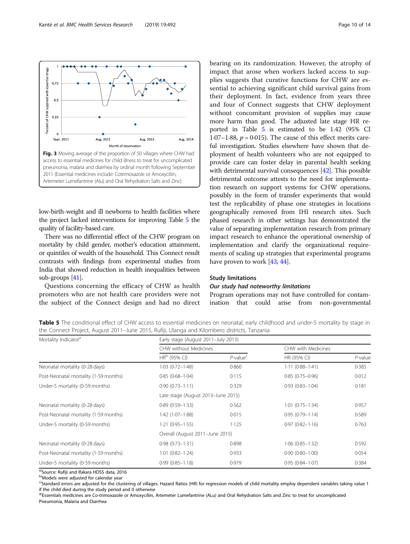<span id="page-9-0"></span>

low-birth-weight and ill newborns to health facilities where the project lacked interventions for improving Table 5 the quality of facility-based care.

There was no differential effect of the CHW program on mortality by child gender, mother's education attainment, or quintiles of wealth of the household. This Connect result contrasts with findings from experimental studies from India that showed reduction in health inequalities between sub-groups [\[41](#page-12-0)].

Questions concerning the efficacy of CHW as health promoters who are not health care providers were not the subject of the Connect design and had no direct

bearing on its randomization. However, the atrophy of impact that arose when workers lacked access to supplies suggests that curative functions for CHW are essential to achieving significant child survival gains from their deployment. In fact, evidence from years three and four of Connect suggests that CHW deployment without concomitant provision of supplies may cause more harm than good. The adjusted late stage HR reported in Table 5 is estimated to be 1.42 (95% CI 1.07–1.88,  $p = 0.015$ ). The cause of this effect merits careful investigation. Studies elsewhere have shown that deployment of health volunteers who are not equipped to provide care can foster delay in parental health seeking with detrimental survival consequences [[42](#page-12-0)]. This possible detrimental outcome attests to the need for implementation research on support systems for CHW operations, possibly in the form of transfer experiments that would test the replicability of phase one strategies in locations geographically removed from IHI research sites. Such phased research in other settings has demonstrated the value of separating implementation research from primary impact research to enhance the operational ownership of implementation and clarify the organizational requirements of scaling up strategies that experimental programs have proven to work [[43](#page-13-0), [44\]](#page-13-0).

## Study limitations

#### Our study had noteworthy limitations

Program operations may not have controlled for contamination that could arise from non-governmental

Table 5 The conditional effect of CHW access to essential medicines on neonatal, early childhood and under-5 mortality by stage in the Connect Project, August 2011–June 2015, Rufiji, Ulanga and Kilombero districts, Tanzania

| Mortality Indicator <sup>a</sup>      | Early stage (August 2011-July 2013) |                                    |                              |            |  |  |
|---------------------------------------|-------------------------------------|------------------------------------|------------------------------|------------|--|--|
|                                       | <b>CHW without Medicines</b>        |                                    | <b>CHW with Medicines</b>    |            |  |  |
|                                       | $HRb$ (95% CI)                      | $P$ -value <sup>c</sup>            | HR (95% CI)                  | $P$ -value |  |  |
| Neonatal mortality (0-28 days)        | $1.03(0.72 - 1.48)$                 | 0.860                              | $1.11(0.88 - 1.41)$          | 0.385      |  |  |
| Post-Neonatal mortality (1-59 months) | $0.85(0.68 - 1.04)$                 | 0.115                              | $0.85(0.75 - 0.96)$          | 0.012      |  |  |
| Under-5 mortality (0-59 months)       | $0.90(0.73 - 1.11)$                 | 0.329                              | $0.93(0.83 - 1.04)$          | 0.181      |  |  |
|                                       |                                     | Late stage (August 2013-June 2015) |                              |            |  |  |
| Neonatal mortality (0-28 days)        | $0.89(0.59 - 1.33)$                 | 0.562                              | $1.01(0.75 - 1.34)$          | 0.957      |  |  |
| Post-Neonatal mortality (1-59 months) | $1.42(1.07 - 1.88)$                 | 0.015                              | $0.95(0.79 - 1.14)$          | 0.589      |  |  |
| Under-5 mortality (0-59 months)       | $1.21(0.95 - 1.55)$                 | 1.125                              | $0.97(0.82 - 1.16)$          | 0.763      |  |  |
|                                       | Overall (August 2011-June 2015)     |                                    |                              |            |  |  |
| Neonatal mortality (0-28 days)        | $0.98(0.73 - 1.31)$                 | 0.898                              | $1.06(0.85 - 1.32)$          | 0.592      |  |  |
| Post-Neonatal mortality (1-59 months) | $1.01(0.82 - 1.24)$                 | 0.933                              | $0.90(0.80 - 1.00)$          | 0.054      |  |  |
| Under-5 mortality (0-59 months)       | $0.99(0.85 - 1.18)$                 | 0.979                              | $0.95(0.84 - 1.07)$<br>0.384 |            |  |  |

a)Source: Rufiji and Ifakara HDSS data, 2016

b)Models were adjusted for calendar year

c)Standard errors are adjusted for the clustering of villages. Hazard Ratios (HR) for regression models of child mortality employ dependent variables taking value 1 if the child died during the study period and 0 otherwise

d)Essentials medicines are Co-trimoxazole or Amoxyciliin, Artemeter Lumefantrine (ALu) and Oral Rehydration Salts and Zinc to treat for uncomplicated Pneumonia, Malaria and Diarrhea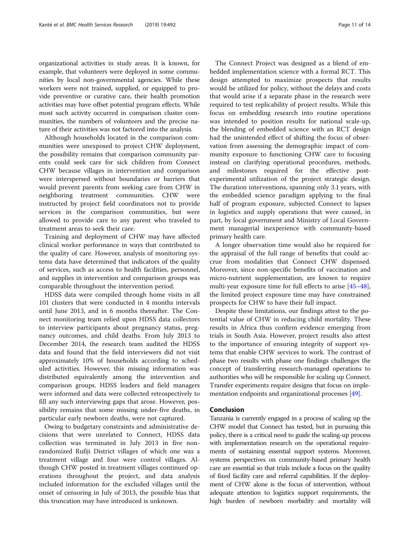organizational activities in study areas. It is known, for example, that volunteers were deployed in some communities by local non-governmental agencies. While these workers were not trained, supplied, or equipped to provide preventive or curative care, their health promotion activities may have offset potential program effects. While most such activity occurred in comparison cluster communities, the numbers of volunteers and the precise nature of their activities was not factored into the analysis.

Although households located in the comparison communities were unexposed to project CHW deployment, the possibility remains that comparison community parents could seek care for sick children from Connect CHW because villages in intervention and comparison were interspersed without boundaries or barriers that would prevent parents from seeking care from CHW in neighboring treatment communities. CHW were instructed by project field coordinators not to provide services in the comparison communities, but were allowed to provide care to any parent who traveled to treatment areas to seek their care.

Training and deployment of CHW may have affected clinical worker performance in ways that contributed to the quality of care. However, analysis of monitoring systems data have determined that indicators of the quality of services, such as access to health facilities, personnel, and supplies in intervention and comparison groups was comparable throughout the intervention period.

HDSS data were compiled through home visits in all 101 clusters that were conducted in 4 months intervals until June 2013, and in 6 months thereafter. The Connect monitoring team relied upon HDSS data collectors to interview participants about pregnancy status, pregnancy outcomes, and child deaths. From July 2013 to December 2014, the research team audited the HDSS data and found that the field interviewers did not visit approximately 10% of households according to scheduled activities. However, this missing information was distributed equivalently among the intervention and comparison groups. HDSS leaders and field managers were informed and data were collected retrospectively to fill any such interviewing gaps that arose. However, possibility remains that some missing under-five deaths, in particular early newborn deaths, were not captured.

Owing to budgetary constraints and administrative decisions that were unrelated to Connect, HDSS data collection was terminated in July 2013 in five nonrandomized Rufiji District villages of which one was a treatment village and four were control villages. Although CHW posted in treatment villages continued operations throughout the project, and data analysis included information for the excluded villages until the onset of censoring in July of 2013, the possible bias that this truncation may have introduced is unknown.

The Connect Project was designed as a blend of embedded implementation science with a formal RCT. This design attempted to maximize prospects that results would be utilized for policy, without the delays and costs that would arise if a separate phase in the research were required to test replicability of project results. While this focus on embedding research into routine operations was intended to position results for national scale-up, the blending of embedded science with an RCT design had the unintended effect of shifting the focus of observation from assessing the demographic impact of community exposure to functioning CHW care to focusing instead on clarifying operational procedures, methods, and milestones required for the effective postexperimental utilization of the project strategic design. The duration interventions, spanning only 3.1 years, with the embedded science paradigm applying to the final half of program exposure, subjected Connect to lapses in logistics and supply operations that were caused, in part, by local government and Ministry of Local Government managerial inexperience with community-based primary health care.

A longer observation time would also be required for the appraisal of the full range of benefits that could accrue from modalities that Connect CHW dispensed. Moreover, since non-specific benefits of vaccination and micro-nutrient supplementation, are known to require multi-year exposure time for full effects to arise [[45](#page-13-0)–[48](#page-13-0)], the limited project exposure time may have constrained prospects for CHW to have their full impact.

Despite these limitations, our findings attest to the potential value of CHW in reducing child mortality. These results in Africa thus confirm evidence emerging from trials in South Asia. However, project results also attest to the importance of ensuring integrity of support systems that enable CHW services to work. The contrast of phase two results with phase one findings challenges the concept of transferring research-managed operations to authorities who will be responsible for scaling up Connect. Transfer experiments require designs that focus on implementation endpoints and organizational processes [[49](#page-13-0)].

# Conclusion

Tanzania is currently engaged in a process of scaling up the CHW model that Connect has tested, but in pursuing this policy, there is a critical need to guide the scaling-up process with implementation research on the operational requirements of sustaining essential support systems. Moreover, systems perspectives on community-based primary health care are essential so that trials include a focus on the quality of fixed facility care and referral capabilities. If the deployment of CHW alone is the focus of intervention, without adequate attention to logistics support requirements, the high burden of newborn morbidity and mortality will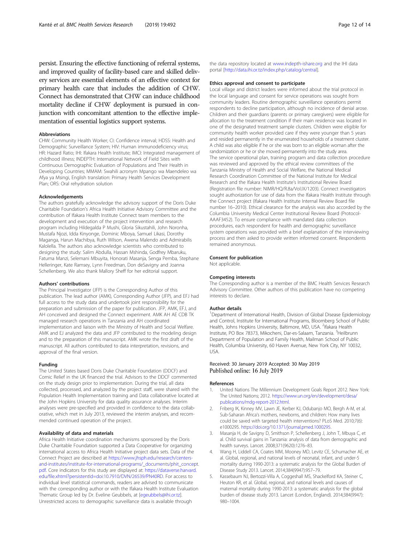<span id="page-11-0"></span>persist. Ensuring the effective functioning of referral systems, and improved quality of facility-based care and skilled delivery services are essential elements of an effective context for primary health care that includes the addition of CHW. Connect has demonstrated that CHW can induce childhood mortality decline if CHW deployment is pursued in conjunction with concomitant attention to the effective implementation of essential logistics support systems.

## Abbreviations

CHW: Community Health Worker; CI: Confidence interval; HDSS: Health and Demographic Surveillance System; HIV: Human immunodeficiency virus; HR: Hazard Ratio; IHI: Ifakara Health Institute; IMCI: Integrated management of childhood illness; INDEPTH: International Network of Field Sites with Continuous Demographic Evaluation of Populations and Their Health in Developing Countries; MMAM: Swahili acronym Mpango wa Maendeleo wa Afya ya Msingi, English translation: Primary Health Services Development Plan; ORS: Oral rehydration solution

#### Acknowledgements

The authors gratefully acknowledge the advisory support of the Doris Duke Charitable Foundation's Africa Health Initiative Advisory Committee and the contribution of Ifakara Health Institute Connect team members to the development and execution of the project intervention and research program including Hildegalda P Mushi, Gloria Sikustahili, John Noronha, Mustafa Njozi, Idda Kinyonge, Dominic Mboya, Samuel Likasi, Dorothy Maganga, Harun Machibya, Ruth Wilson, Awena Malendo and Admirabilis Kalolella. The authors also acknowledge scientists who contributed to designing the study: Salim Abdulla, Hassan Mshinda, Godfrey Mbaruku, Fatuma Manzi, Selemani Mbuyita, Honorati Masanja, Senga Pemba, Stephane Helleringer, Kate Ramsey, Lynn Freedman, Don deSavigny and Joanna Schellenberg. We also thank Mallory Sheff for her editorial support.

#### Authors' contributions

The Principal Investigator (JFP) is the Corresponding Author of this publication. The lead author (AMK), Corresponding Author (JFP), and EFJ had full access to the study data and undertook joint responsibility for the preparation and submission of the paper for publication. JFP, AMK, EFJ, and AH conceived and designed the Connect experiment. AMK AH AE CDB TK managed research operations in Tanzania and AH coordinated implementation and liaison with the Ministry of Health and Social Welfare. AMK and EJ analyzed the data and JFP contributed to the modeling design and to the preparation of this manuscript. AMK wrote the first draft of the manuscript. All authors contributed to data interpretation, revisions, and approval of the final version.

#### Funding

The United States based Doris Duke Charitable Foundation (DDCF) and Comic Relief in the UK financed the trial. Advisors to the DDCF commented on the study design prior to implementation. During the trial, all data collected, processed, and analyzed by the project staff, were shared with the Population Health Implementation training and Data collaborative located at the John Hopkins University for data quality assurance analyses. Interim analyses were pre-specified and provided in confidence to the data collaborative, which met in July 2013, reviewed the interim analyses, and recommended continued operation of the project.

#### Availability of data and materials

Africa Health Initiative coordination mechanisms sponsored by the Doris Duke Charitable Foundation supported a Data Cooperative for organizing international access to Africa Health Initiative project data sets. Data of the Connect Project are described at [https://www.jhsph.edu/research/centers](https://www.jhsph.edu/research/centers-and-institutes/institute-for-international-programs/_documents/phit_concept.pdf)[and-institutes/institute-for-international-programs/\\_documents/phit\\_concept.](https://www.jhsph.edu/research/centers-and-institutes/institute-for-international-programs/_documents/phit_concept.pdf) [pdf.](https://www.jhsph.edu/research/centers-and-institutes/institute-for-international-programs/_documents/phit_concept.pdf) Core indicators for this study are displayed at: [https://dataverse.harvard.](https://dataverse.harvard.edu/file.xhtml?persistentId=doi:10.7910/DVN/26539/PN40RD) [edu/file.xhtml?persistentId=doi:10.7910/DVN/26539/PN40RD.](https://dataverse.harvard.edu/file.xhtml?persistentId=doi:10.7910/DVN/26539/PN40RD) For access to individual level statistical commands, readers are advised to communicate with the corresponding author or with the Ifakara Health Institute Evaluation Thematic Group led by Dr. Eveline Geubbels, at [\[egeubbels@ihi.or.tz\]](mailto:egeubbels@ihi.or.tz). Unrestricted access to demographic surveillance data is available through

the data repository located at [www.indepth-ishare.org](http://www.indepth-ishare.org) and the IHI data portal [\[http://data.ihi.or.tz/index.php/catalog/central](http://data.ihi.or.tz/index.php/catalog/central)].

#### Ethics approval and consent to participate

Local village and district leaders were informed about the trial protocol in the local language and consent for service operations was sought from community leaders. Routine demographic surveillance operations permit respondents to decline participation, although no incidence of denial arose. Children and their guardians (parents or primary caregivers) were eligible for allocation to the treatment condition if their main residence was located in one of the designated treatment sample clusters. Children were eligible for community health worker provided care if they were younger than 5 years and resided permanently in the enumerated households of a treatment cluster. A child was also eligible if he or she was born to an eligible woman after the randomization or he or she moved permanently into the study area. The service operational plan, training program and data collection procedure was reviewed and approved by the ethical review committees of the Tanzania Ministry of Health and Social Welfare, the National Medical Research Coordination Committee of the National Institute for Medical Research and the Ifakara Health Institute's Institutional Review Board (Registration file number: NIMR/HQ/R.8a/Vol.IX/1203). Connect investigators sought authorization for use of data from the Ifakara Health Institute through the Connect project (Ifakara Health Institute Internal Review Board file number 16–2010). Ethical clearance for the analysis was also accorded by the Columbia University Medical Center Institutional Review Board (Protocol-AAAF3452). To ensure compliance with mandated data collection procedures, each respondent for health and demographic surveillance system operations was provided with a brief explanation of the interviewing process and then asked to provide written informed consent. Respondents remained anonymous.

#### Consent for publication

Not applicable.

#### Competing interests

The Corresponding author is a member of the BMC Health Services Research Advisory Committee. Other authors of this publication have no competing interests to declare.

#### Author details

<sup>1</sup>Department of International Health, Division of Global Disease Epidemiology and Control, Institute for International Programs, Bloomberg School of Public Health, Johns Hopkins University, Baltimore, MD, USA. <sup>2</sup>Ifakara Health Institute, PO Box 78373, Mikocheni, Dar-es-Salaam, Tanzania. <sup>3</sup>Heilbrunn Department of Population and Family Health, Mailman School of Public Health, Columbia University, 60 Haven Avenue, New York City, NY 10032, USA.

#### Received: 30 January 2019 Accepted: 30 May 2019 Published online: 16 July 2019

#### References

- United Nations The Millennium Development Goals Report 2012. New York: The United Nations; 2012. [https://www.un.org/en/development/desa/](https://www.un.org/en/development/desa/publications/mdg-report-2012.html) [publications/mdg-report-2012.html.](https://www.un.org/en/development/desa/publications/mdg-report-2012.html)
- 2. Friberg IK, Kinney MV, Lawn JE, Kerber KJ, Odubanjo MO, Bergh A-M, et al. Sub-Saharan Africa's mothers, newborns, and children: How many lives could be saved with targeted health interventions? PLoS Med. 2010;7(6): e1000295. <https://doi.org/10.1371/journal.pmed.1000295>.
- 3. Masanja H, de Savigny D, Smithson P, Schellenberg J, John T, Mbuya C, et al. Child survival gains in Tanzania: analysis of data from demographic and health surveys. Lancet. 2008;371(9620):1276–83.
- 4. Wang H, Liddell CA, Coates MM, Mooney MD, Levitz CE, Schumacher AE, et al. Global, regional, and national levels of neonatal, infant, and under-5 mortality during 1990-2013: a systematic analysis for the Global Burden of Disease Study 2013. Lancet. 2014;384(9947):957–79.
- Kassebaum NJ, Bertozzi-Villa A, Coggeshall MS, Shackelford KA, Steiner C, Heuton KR, et al. Global, regional, and national levels and causes of maternal mortality during 1990-2013: a systematic analysis for the global burden of disease study 2013. Lancet (London, England). 2014;384(9947): 980–1004.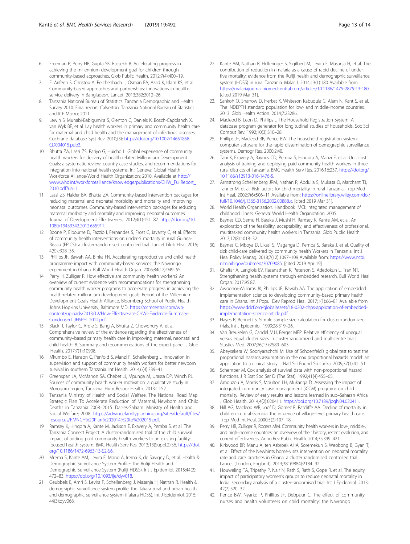- <span id="page-12-0"></span>6. Freeman P, Perry HB, Gupta SK, Rassekh B. Accelerating progress in achieving the millennium development goal for children through community-based approaches. Glob Public Health. 2012;7(4):400–19.
- 7. El Arifeen S, Christou A, Reichenbach L, Osman FA, Azad K, Islam KS, et al. Community-based approaches and partnerships: innovations in healthservice delivery in Bangladesh. Lancet. 2013;382:2012–26.
- Tanzania National Bureau of Statistics. Tanzania Demographic and Health Survey 2010: Final report. Calverton: Tanzania National Bureau of Statistics and ICF Macro; 2011.
- 9. Lewin S, Munabi-Babigumira S, Glenton C, Daniels K, Bosch-Capblanch X, van Wyk BE, et al. Lay health workers in primary and community health care for maternal and child health and the management of infectious diseases. Cochrane database Syst Rev. 2010;(3): [https://doi.org/10.1002/14651858.](https://doi.org/10.1002/14651858.CD004015.pub3) [CD004015.pub3.](https://doi.org/10.1002/14651858.CD004015.pub3)
- 10. Bhutta ZA, Lassi ZS, Pariyo G, Huicho L. Global experience of community health workers for delivery of health related Millennium Development Goals: a systematic review, country case studies, and recommendations for integration into national health systems. In.: Geneva: Global Health Workforce Alliance/World Health Organization; 2010. Available at [http://](http://www.who.int/workforcealliance/knowledge/publications/CHW_FullReport_2010.pdf?ua=1) [www.who.int/workforcealliance/knowledge/publications/CHW\\_FullReport\\_](http://www.who.int/workforcealliance/knowledge/publications/CHW_FullReport_2010.pdf?ua=1) [2010.pdf?ua=1](http://www.who.int/workforcealliance/knowledge/publications/CHW_FullReport_2010.pdf?ua=1).
- 11. Lassi ZS, Haider BA, Bhutta ZA. Community-based intervention packages for reducing maternal and neonatal morbidity and mortality and improving neonatal outcomes. Community-based intervention packages for reducing maternal morbidity and mortality and improving neonatal outcomes. Journal of Development Effectiveness. 2012;4(1):151–87. [https://doi.org/10.](https://doi.org/10.1080/19439342.2012.655911) [1080/19439342.2012.655911.](https://doi.org/10.1080/19439342.2012.655911)
- 12. Boone P, Elbourne D, Fazzio I, Fernandes S, Frost C, Jayanty C, et al. Effects of community health interventions on under-5 mortality in rural Guinea-Bissau (EPICS): a cluster-randomised controlled trial. Lancet Glob Heal. 2016; 4(5):e328–35.
- 13. Phillips JF, Bawah AA, Binka FN. Accelerating reproductive and child health programme impact with community-based services: the Navrongo experiment in Ghana. Bull World Health Organ. 2006;84(12):949–55.
- 14. Perry H, Zulliger R. How effective are community health workers? An overview of current evidence with recommendations for strengthening community health worker programs to accelerate progress in achieving the health-related millennium development goals. Report of the Millennium Development Goals Health Alliance, Bloomberg School of Public Health, Johns Hopkins University, Baltimore MD. [https://ccmcentral.com/wp](https://ccmcentral.com/wp-content/uploads/2013/12/How-Effective-are-CHWs-Evidence-Summary-Condensed_JHSPH_2012.pdf)[content/uploads/2013/12/How-Effective-are-CHWs-Evidence-Summary-](https://ccmcentral.com/wp-content/uploads/2013/12/How-Effective-are-CHWs-Evidence-Summary-Condensed_JHSPH_2012.pdf)[Condensed\\_JHSPH\\_2012.pdf.](https://ccmcentral.com/wp-content/uploads/2013/12/How-Effective-are-CHWs-Evidence-Summary-Condensed_JHSPH_2012.pdf)
- 15. Black R, Taylor C, Arole S, Bang A, Bhutta Z, Chowdhury A, et al. Comprehensive review of the evidence regarding the effectiveness of community–based primary health care in improving maternal, neonatal and child health: 8. Summary and recommendations of the expert panel. J Glob lHealth. 2017;7(1):10908.
- 16. Mkumbo E, Hanson C, Penfold S, Manzi F, Schellenberg J. Innovation in supervision and support of community health workers for better newborn survival in southern Tanzania. Int Health. 2014;6(4):339–41.
- 17. Greenspan JA, McMahon SA, Chebet JJ, Mpunga M, Urassa DP, Winch PJ. Sources of community health worker motivation: a qualitative study in Morogoro region, Tanzania. Hum Resour Health. 2013;11:52.
- 18. Tanzania MInistry of Health and Social Welfare. The National Road Map Strategic Plan To Accelerate Reduction of Maternal, Newborn and Child Deaths in Tanzania 2008–2015. Dar-es-Salaam: Ministry of Health and Social Welfare; 2008. [https://advancefamilyplanning.org/sites/default/files/](https://advancefamilyplanning.org/sites/default/files/resources/RMNCH%20Plan%202014%20to%202015.pdf) [resources/RMNCH%20Plan%202014%20to%202015.pdf](https://advancefamilyplanning.org/sites/default/files/resources/RMNCH%20Plan%202014%20to%202015.pdf).
- 19. Ramsey K, Hingora A, Kante M, Jackson E, Exavery A, Pemba S, et al. The Tanzania Connect Project: A cluster-randomized trial of the child survival impact of adding paid community health workers to an existing facilityfocused health system. BMC Health Serv Res. 2013;13(Suppl.2):S6. [https://doi.](https://doi.org/10.1186/1472-6963-13-S2-S6) [org/10.1186/1472-6963-13-S2-S6.](https://doi.org/10.1186/1472-6963-13-S2-S6)
- 20. Mrema S, Kante AM, Levira F, Mono A, Irema K, de Savigny D, et al. Health & Demographic Surveillance System Profile: The Rufiji Health and Demographic Surveillance System (Rufiji HDSS). Int J Epidemiol. 2015;44(2): 472–83. <https://doi.org/10.1093/ije/dyv018>.
- 21. Geubbels E, Amri S, Levira F, Schellenberg J, Masanja H, Nathan R. Health & demographic surveillance system profile: the Ifakara rural and urban health and demographic surveillance system (Ifakara HDSS). Int J Epidemiol. 2015; 44(3):dyv068.
- 22. Kanté AM, Nathan R, Helleringer S, Sigilbert M, Levira F, Masanja H, et al. The contribution of reduction in malaria as a cause of rapid decline of underfive mortality: evidence from the Rufiji health and demographic surveillance system (HDSS) in rural Tanzania. Malar J. 2014;13(1):180 Available from: [https://malariajournal.biomedcentral.com/articles/10.1186/1475-2875-13-180.](https://malariajournal.biomedcentral.com/articles/10.1186/1475-2875-13-180) [cited 2019 Mar 31].
- Sankoh O, Sharrow D, Herbst K, Whiteson Kabudula C, Alam N, Kant S, et al. The INDEPTH standard population for low- and middle-income countries, 2013. Glob Health Action. 2014;7:23286.
- 24. Macleod B, Leon D, Phillips J. The Household Registration System: A database program generator for longitudinal studies of households. Soc Sci Comput Rev. 1992;10(3):310–28.
- 25. Phillips JF, Macleod BB, Pence BW. The household registration system: computer software for the rapid dissemination of demographic surveillance systems. Demogr Res. 2000;2:40.
- 26. Tani K, Exavery A, Baynes CD, Pemba S, Hingora A, Manzi F, et al. Unit cost analysis of training and deploying paid community health workers in three rural districts of Tanzania. BMC Health Serv Res. 2016;16:237. [https://doi.org/](https://doi.org/10.1186/s12913-016-1476-5) [10.1186/s12913-016-1476-5](https://doi.org/10.1186/s12913-016-1476-5).
- 27. Armstrong Schellenberg JRM, Nathan R, Abdulla S, Mukasa O, Marchant TJ, Tanner M, et al. Risk factors for child mortality in rural Tanzania. Trop Med Int Heal. 2002;7(6):506–11 Available from: [https://onlinelibrary.wiley.com/doi/](https://onlinelibrary.wiley.com/doi/full/10.1046/j.1365-3156.2002.00888.x) [full/10.1046/j.1365-3156.2002.00888.x](https://onlinelibrary.wiley.com/doi/full/10.1046/j.1365-3156.2002.00888.x). [cited 2019 Mar 31].
- 28. World Health Organization. Handbook IMCI: integrated management of childhood illness. Geneva: World Health Organization; 2005.
- 29. Baynes CD, Semu H, Baraka J, Mushi H, Ramsey K, Kante AM, et al. An exploration of the feasibility, acceptability, and effectiveness of professional, multitasked community health workers in Tanzania. Glob Public Health. 2017;12(8):1018–32.
- 30. Baynes C, Mboya D, Likasi S, Maganga D, Pemba S, Baraka J, et al. Quality of sick child-care delivered by community health Workers in Tanzania. Int J Heal Policy Manag. 2018;7(12):1097–109 Available from: [https://www.ncbi.](https://www.ncbi.nlm.nih.gov/pubmed/30709085) [nlm.nih.gov/pubmed/30709085.](https://www.ncbi.nlm.nih.gov/pubmed/30709085) [cited 2019 Apr 19].
- 31. Ghaffar A, Langlois EV, Rasanathan K, Peterson S, Adedokun L, Tran NT. Strengthening health systems through embedded research. Bull World Heal Organ. 2017;95:87.
- 32. Awoonor-Williams JK, Phillips JF, Bawah AA. The application of embedded implementation science to developing community-based primary health care in Ghana. Int J Popul Dev Reprod Heal. 2017;1(1):66–81 Available from: [https://www.ddcf.org/globalassets/18-0202-chps-application-of-embedded](https://www.ddcf.org/globalassets/18-0202-chps-application-of-embedded-implementation-science-article.pdf)[implementation-science-article.pdf.](https://www.ddcf.org/globalassets/18-0202-chps-application-of-embedded-implementation-science-article.pdf)
- 33. Hayes R, Bennett S. Simple sample size calculation for cluster-randomized trials. Int J Epidemiol. 1999;28:319–26.
- 34. Van Breukelen G, Candel MJJ, Berger MFP. Relative efficiency of unequal versus equal cluster sizes in cluster randomized and multicentre trials. Stastics Med. 2007;26(13):2589–603.
- 35. Abeysekera W, Sooriyarachchi M. Use of Schoenfeld's global test to test the proportional hazards assumption in the cox proportional hazards model: an application to a clinical study. J Natl Sci Found Sri Lanka. 2009;37(1):41–51.
- 36. Schemper M. Cox analysis of survival data with non-proportional hazard functions. J R Stat Soc Ser D (The Stat). 1992;41(4):455–65.
- 37. Amouzou A, Morris S, Moulton LH, Mukanga D. Assessing the impact of integrated community case management (iCCM) programs on child mortality: Review of early results and lessons learned in sub–Saharan Africa. J Glob Health. 2014;4(2):020411. [https://doi.org/10.7189/jogh.04.020411.](https://doi.org/10.7189/jogh.04.020411)
- 38. Hill AG, Macleod WB, Joof D, Gomez P, Ratcliffe AA. Decline of mortality in children in rural Gambia: the in uence of village-level primary health care. Trop Med Int Heal. 2000;5(2):107–18.
- 39. Perry HB, Zulliger R, Rogers MM. Community health workers in low-, middle-, and high-income countries: an overview of their history, recent evolution, and current effectiveness. Annu Rev Public Health. 2014;35:399–421.
- 40. Kirkwood BR, Manu A, ten Asbroek AHA, Soremekun S, Weobong B, Gyan T, et al. Effect of the Newhints home-visits intervention on neonatal mortality rate and care practices in Ghana: a cluster randomised controlled trial. Lancet (London, England). 2013;381(9884):2184–92.
- 41. Houweling TA, Tripathy P, Nair N, Rath S, Rath S, Gope R, et al. The equity impact of participatory women's groups to reduce neonatal mortality in India: secondary analysis of a cluster-randomised trial. Int J Epidemiol. 2013; 42(2):520–32.
- 42. Pence BW, Nyarko P, Phillips JF, Debpuur C. The effect of community nurses and health volunteers on child mortality: the Navrongo